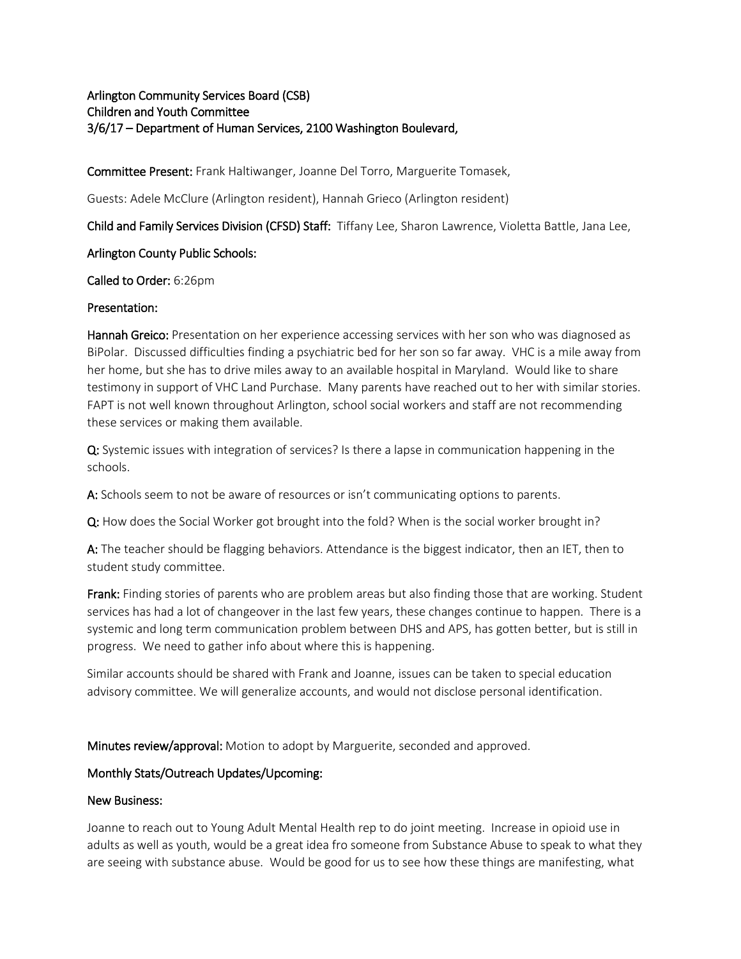# Arlington Community Services Board (CSB) Children and Youth Committee 3/6/17 – Department of Human Services, 2100 Washington Boulevard,

Committee Present: Frank Haltiwanger, Joanne Del Torro, Marguerite Tomasek,

Guests: Adele McClure (Arlington resident), Hannah Grieco (Arlington resident)

Child and Family Services Division (CFSD) Staff: Tiffany Lee, Sharon Lawrence, Violetta Battle, Jana Lee,

### Arlington County Public Schools:

### Called to Order: 6:26pm

### Presentation:

**Hannah Greico:** Presentation on her experience accessing services with her son who was diagnosed as BiPolar. Discussed difficulties finding a psychiatric bed for her son so far away. VHC is a mile away from her home, but she has to drive miles away to an available hospital in Maryland. Would like to share testimony in support of VHC Land Purchase. Many parents have reached out to her with similar stories. FAPT is not well known throughout Arlington, school social workers and staff are not recommending these services or making them available.

Q: Systemic issues with integration of services? Is there a lapse in communication happening in the schools.

A: Schools seem to not be aware of resources or isn't communicating options to parents.

Q: How does the Social Worker got brought into the fold? When is the social worker brought in?

A: The teacher should be flagging behaviors. Attendance is the biggest indicator, then an IET, then to student study committee.

Frank: Finding stories of parents who are problem areas but also finding those that are working. Student services has had a lot of changeover in the last few years, these changes continue to happen. There is a systemic and long term communication problem between DHS and APS, has gotten better, but is still in progress. We need to gather info about where this is happening.

Similar accounts should be shared with Frank and Joanne, issues can be taken to special education advisory committee. We will generalize accounts, and would not disclose personal identification.

Minutes review/approval: Motion to adopt by Marguerite, seconded and approved.

# Monthly Stats/Outreach Updates/Upcoming:

#### New Business:

Joanne to reach out to Young Adult Mental Health rep to do joint meeting. Increase in opioid use in adults as well as youth, would be a great idea fro someone from Substance Abuse to speak to what they are seeing with substance abuse. Would be good for us to see how these things are manifesting, what